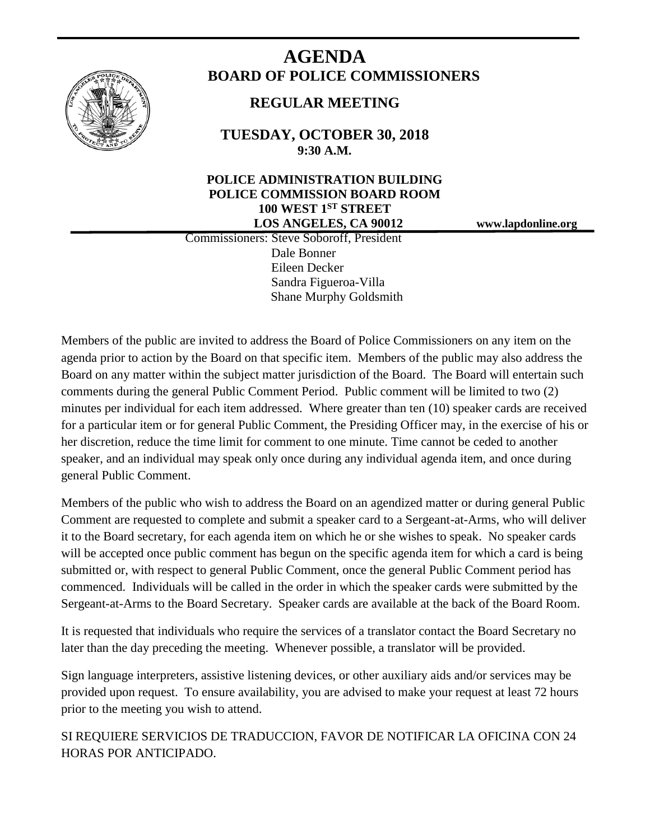

# **AGENDA BOARD OF POLICE COMMISSIONERS**

## **REGULAR MEETING**

**TUESDAY, OCTOBER 30, 2018 9:30 A.M.**

## **POLICE ADMINISTRATION BUILDING POLICE COMMISSION BOARD ROOM 100 WEST 1ST STREET LOS ANGELES, CA 90012 www.lapdonline.org**

 Commissioners: Steve Soboroff, President Dale Bonner Eileen Decker Sandra Figueroa-Villa Shane Murphy Goldsmith

Members of the public are invited to address the Board of Police Commissioners on any item on the agenda prior to action by the Board on that specific item. Members of the public may also address the Board on any matter within the subject matter jurisdiction of the Board. The Board will entertain such comments during the general Public Comment Period. Public comment will be limited to two (2) minutes per individual for each item addressed. Where greater than ten (10) speaker cards are received for a particular item or for general Public Comment, the Presiding Officer may, in the exercise of his or her discretion, reduce the time limit for comment to one minute. Time cannot be ceded to another speaker, and an individual may speak only once during any individual agenda item, and once during general Public Comment.

Members of the public who wish to address the Board on an agendized matter or during general Public Comment are requested to complete and submit a speaker card to a Sergeant-at-Arms, who will deliver it to the Board secretary, for each agenda item on which he or she wishes to speak. No speaker cards will be accepted once public comment has begun on the specific agenda item for which a card is being submitted or, with respect to general Public Comment, once the general Public Comment period has commenced. Individuals will be called in the order in which the speaker cards were submitted by the Sergeant-at-Arms to the Board Secretary. Speaker cards are available at the back of the Board Room.

It is requested that individuals who require the services of a translator contact the Board Secretary no later than the day preceding the meeting. Whenever possible, a translator will be provided.

Sign language interpreters, assistive listening devices, or other auxiliary aids and/or services may be provided upon request. To ensure availability, you are advised to make your request at least 72 hours prior to the meeting you wish to attend.

SI REQUIERE SERVICIOS DE TRADUCCION, FAVOR DE NOTIFICAR LA OFICINA CON 24 HORAS POR ANTICIPADO.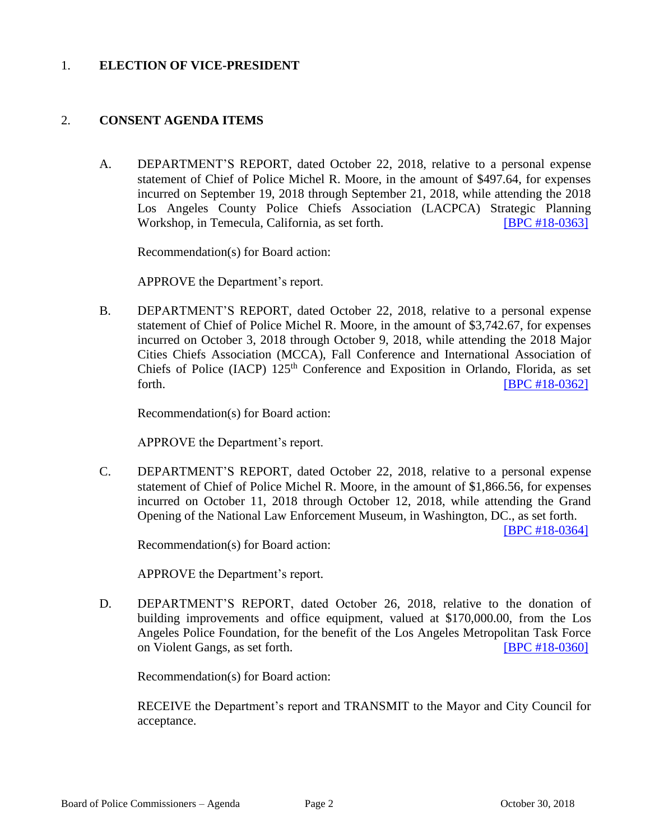#### 1. **ELECTION OF VICE-PRESIDENT**

#### 2. **CONSENT AGENDA ITEMS**

A. DEPARTMENT'S REPORT, dated October 22, 2018, relative to a personal expense statement of Chief of Police Michel R. Moore, in the amount of \$497.64, for expenses incurred on September 19, 2018 through September 21, 2018, while attending the 2018 Los Angeles County Police Chiefs Association (LACPCA) Strategic Planning Workshop, in Temecula, California, as set forth. **[\[BPC #18-0363\]](http://www.lapdpolicecom.lacity.org/103018/BPC_18-0363.pdf)** 

Recommendation(s) for Board action:

APPROVE the Department's report.

B. DEPARTMENT'S REPORT, dated October 22, 2018, relative to a personal expense statement of Chief of Police Michel R. Moore, in the amount of \$3,742.67, for expenses incurred on October 3, 2018 through October 9, 2018, while attending the 2018 Major Cities Chiefs Association (MCCA), Fall Conference and International Association of Chiefs of Police (IACP)  $125<sup>th</sup>$  Conference and Exposition in Orlando, Florida, as set forth. **IBPC #18-0362** 

Recommendation(s) for Board action:

APPROVE the Department's report.

C. DEPARTMENT'S REPORT, dated October 22, 2018, relative to a personal expense statement of Chief of Police Michel R. Moore, in the amount of \$1,866.56, for expenses incurred on October 11, 2018 through October 12, 2018, while attending the Grand Opening of the National Law Enforcement Museum, in Washington, DC., as set forth.

[\[BPC #18-0364\]](http://www.lapdpolicecom.lacity.org/103018/BPC_18-0364.pdf)

Recommendation(s) for Board action:

APPROVE the Department's report.

D. DEPARTMENT'S REPORT, dated October 26, 2018, relative to the donation of building improvements and office equipment, valued at \$170,000.00, from the Los Angeles Police Foundation, for the benefit of the Los Angeles Metropolitan Task Force on Violent Gangs, as set forth. [\[BPC #18-0360\]](http://www.lapdpolicecom.lacity.org/103018/BPC_18-0360.pdf)

Recommendation(s) for Board action:

RECEIVE the Department's report and TRANSMIT to the Mayor and City Council for acceptance.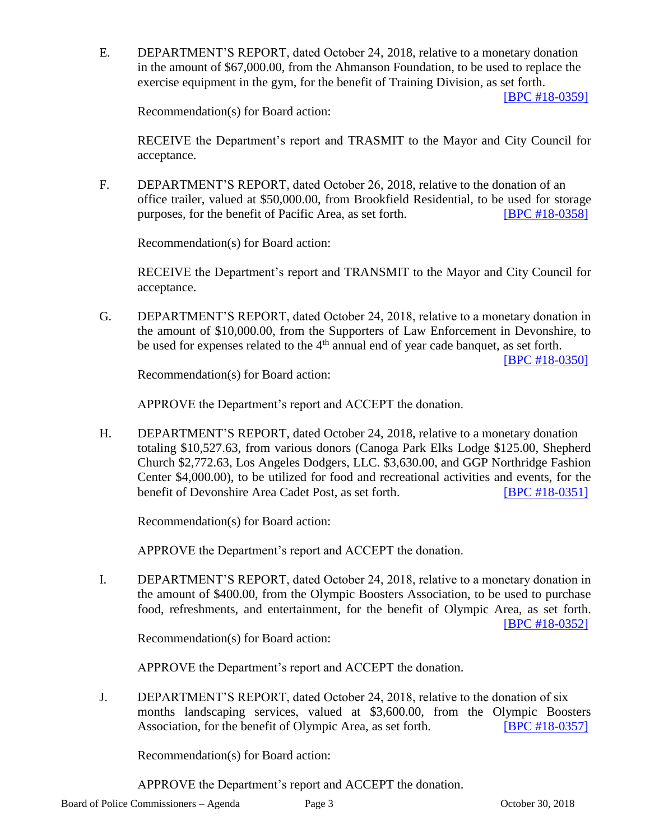E. DEPARTMENT'S REPORT, dated October 24, 2018, relative to a monetary donation in the amount of \$67,000.00, from the Ahmanson Foundation, to be used to replace the exercise equipment in the gym, for the benefit of Training Division, as set forth.

[\[BPC #18-0359\]](http://www.lapdpolicecom.lacity.org/103018/BPC_18-0359.pdf)

Recommendation(s) for Board action:

RECEIVE the Department's report and TRASMIT to the Mayor and City Council for acceptance.

F. DEPARTMENT'S REPORT, dated October 26, 2018, relative to the donation of an office trailer, valued at \$50,000.00, from Brookfield Residential, to be used for storage purposes, for the benefit of Pacific Area, as set forth. [\[BPC #18-0358\]](http://www.lapdpolicecom.lacity.org/103018/BPC_18-0358.pdf)

Recommendation(s) for Board action:

RECEIVE the Department's report and TRANSMIT to the Mayor and City Council for acceptance.

G. DEPARTMENT'S REPORT, dated October 24, 2018, relative to a monetary donation in the amount of \$10,000.00, from the Supporters of Law Enforcement in Devonshire, to be used for expenses related to the 4<sup>th</sup> annual end of year cade banquet, as set forth.

[\[BPC #18-0350\]](http://www.lapdpolicecom.lacity.org/103018/BPC_18-0350.pdf)

Recommendation(s) for Board action:

APPROVE the Department's report and ACCEPT the donation.

H. DEPARTMENT'S REPORT, dated October 24, 2018, relative to a monetary donation totaling \$10,527.63, from various donors (Canoga Park Elks Lodge \$125.00, Shepherd Church \$2,772.63, Los Angeles Dodgers, LLC. \$3,630.00, and GGP Northridge Fashion Center \$4,000.00), to be utilized for food and recreational activities and events, for the benefit of Devonshire Area Cadet Post, as set forth. **[\[BPC #18-0351\]](http://www.lapdpolicecom.lacity.org/103018/BPC_18-0351.pdf)** 

Recommendation(s) for Board action:

APPROVE the Department's report and ACCEPT the donation.

I. DEPARTMENT'S REPORT, dated October 24, 2018, relative to a monetary donation in the amount of \$400.00, from the Olympic Boosters Association, to be used to purchase food, refreshments, and entertainment, for the benefit of Olympic Area, as set forth. [\[BPC #18-0352\]](http://www.lapdpolicecom.lacity.org/103018/BPC_18-0352.pdf)

Recommendation(s) for Board action:

APPROVE the Department's report and ACCEPT the donation.

J. DEPARTMENT'S REPORT, dated October 24, 2018, relative to the donation of six months landscaping services, valued at \$3,600.00, from the Olympic Boosters Association, for the benefit of Olympic Area, as set forth. **[\[BPC #18-0357\]](http://www.lapdpolicecom.lacity.org/103018/BPC_18-0357.pdf)** 

Recommendation(s) for Board action:

APPROVE the Department's report and ACCEPT the donation.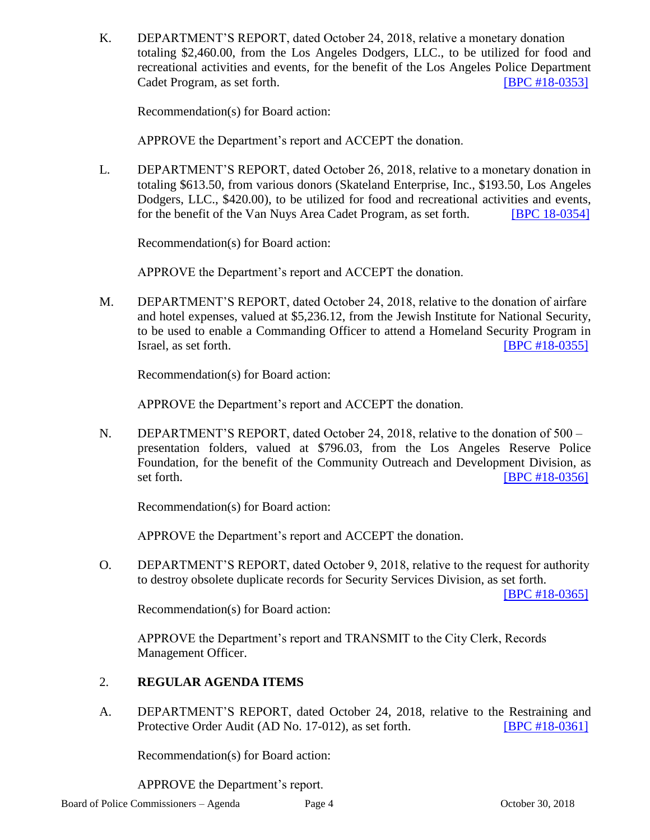K. DEPARTMENT'S REPORT, dated October 24, 2018, relative a monetary donation totaling \$2,460.00, from the Los Angeles Dodgers, LLC., to be utilized for food and recreational activities and events, for the benefit of the Los Angeles Police Department Cadet Program, as set forth. [\[BPC #18-0353\]](http://www.lapdpolicecom.lacity.org/103018/BPC_18-0353.pdf)

Recommendation(s) for Board action:

APPROVE the Department's report and ACCEPT the donation.

L. DEPARTMENT'S REPORT, dated October 26, 2018, relative to a monetary donation in totaling \$613.50, from various donors (Skateland Enterprise, Inc., \$193.50, Los Angeles Dodgers, LLC., \$420.00), to be utilized for food and recreational activities and events, for the benefit of the Van Nuys Area Cadet Program, as set forth. [\[BPC 18-0354\]](http://www.lapdpolicecom.lacity.org/103018/BPC_18-0354.pdf)

Recommendation(s) for Board action:

APPROVE the Department's report and ACCEPT the donation.

M. DEPARTMENT'S REPORT, dated October 24, 2018, relative to the donation of airfare and hotel expenses, valued at \$5,236.12, from the Jewish Institute for National Security, to be used to enable a Commanding Officer to attend a Homeland Security Program in Israel, as set forth. **ISPC #18-0355]** 

Recommendation(s) for Board action:

APPROVE the Department's report and ACCEPT the donation.

N. DEPARTMENT'S REPORT, dated October 24, 2018, relative to the donation of 500 – presentation folders, valued at \$796.03, from the Los Angeles Reserve Police Foundation, for the benefit of the Community Outreach and Development Division, as set forth. **IBPC #18-0356** 

Recommendation(s) for Board action:

APPROVE the Department's report and ACCEPT the donation.

O. DEPARTMENT'S REPORT, dated October 9, 2018, relative to the request for authority to destroy obsolete duplicate records for Security Services Division, as set forth.

[\[BPC #18-0365\]](http://www.lapdpolicecom.lacity.org/103018/BPC_18-0365.pdf)

Recommendation(s) for Board action:

APPROVE the Department's report and TRANSMIT to the City Clerk, Records Management Officer.

## 2. **REGULAR AGENDA ITEMS**

A. DEPARTMENT'S REPORT, dated October 24, 2018, relative to the Restraining and Protective Order Audit (AD No. 17-012), as set forth. **[\[BPC #18-0361\]](http://www.lapdpolicecom.lacity.org/103018/BPC_18-0361.pdf)** 

Recommendation(s) for Board action:

APPROVE the Department's report.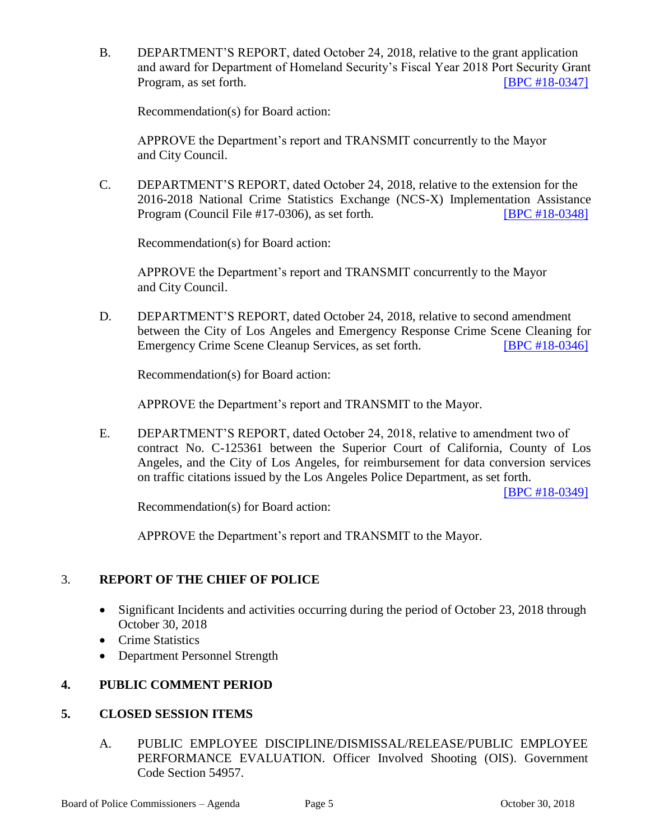B. DEPARTMENT'S REPORT, dated October 24, 2018, relative to the grant application and award for Department of Homeland Security's Fiscal Year 2018 Port Security Grant Program, as set forth. [\[BPC #18-0347\]](http://www.lapdpolicecom.lacity.org/103018/BPC_18-0347.pdf)

Recommendation(s) for Board action:

APPROVE the Department's report and TRANSMIT concurrently to the Mayor and City Council.

C. DEPARTMENT'S REPORT, dated October 24, 2018, relative to the extension for the 2016-2018 National Crime Statistics Exchange (NCS-X) Implementation Assistance Program (Council File #17-0306), as set forth. [\[BPC #18-0348\]](http://www.lapdpolicecom.lacity.org/103018/BPC_18-0348.pdf)

Recommendation(s) for Board action:

APPROVE the Department's report and TRANSMIT concurrently to the Mayor and City Council.

D. DEPARTMENT'S REPORT, dated October 24, 2018, relative to second amendment between the City of Los Angeles and Emergency Response Crime Scene Cleaning for Emergency Crime Scene Cleanup Services, as set forth. [\[BPC #18-0346\]](http://www.lapdpolicecom.lacity.org/103018/BPC_18-0346.pdf)

Recommendation(s) for Board action:

APPROVE the Department's report and TRANSMIT to the Mayor.

E. DEPARTMENT'S REPORT, dated October 24, 2018, relative to amendment two of contract No. C-125361 between the Superior Court of California, County of Los Angeles, and the City of Los Angeles, for reimbursement for data conversion services on traffic citations issued by the Los Angeles Police Department, as set forth.

[\[BPC #18-0349\]](http://www.lapdpolicecom.lacity.org/103018/BPC_18-0349.pdf)

Recommendation(s) for Board action:

APPROVE the Department's report and TRANSMIT to the Mayor.

## 3. **REPORT OF THE CHIEF OF POLICE**

- Significant Incidents and activities occurring during the period of October 23, 2018 through October 30, 2018
- Crime Statistics
- Department Personnel Strength

## **4. PUBLIC COMMENT PERIOD**

## **5. CLOSED SESSION ITEMS**

A. PUBLIC EMPLOYEE DISCIPLINE/DISMISSAL/RELEASE/PUBLIC EMPLOYEE PERFORMANCE EVALUATION. Officer Involved Shooting (OIS). Government Code Section 54957.